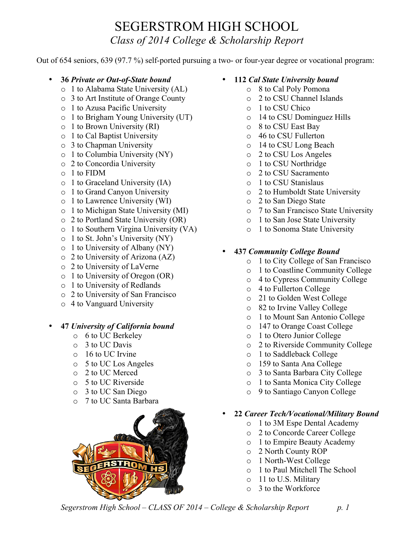## SEGERSTROM HIGH SCHOOL *Class of 2014 College & Scholarship Report*

Out of 654 seniors, 639 (97.7 %) self-ported pursuing a two- or four-year degree or vocational program:

- **36** *Private or Out-of-State bound*
	- o 1 to Alabama State University (AL)
	- o 3 to Art Institute of Orange County
	- o 1 to Azusa Pacific University
	- o 1 to Brigham Young University (UT)
	- o 1 to Brown University (RI)
	- o 1 to Cal Baptist University
	- o 3 to Chapman University
	- o 1 to Columbia University (NY)
	- o 2 to Concordia University
	- o 1 to FIDM
	- o 1 to Graceland University (IA)
	- o 1 to Grand Canyon University
	- o 1 to Lawrence University (WI)
	- o 1 to Michigan State University (MI)
	- o 2 to Portland State University (OR)
	- o 1 to Southern Virgina University (VA)
	- o 1 to St. John's University (NY)
	- o 1 to University of Albany (NY)
	- o 2 to University of Arizona (AZ)
	- o 2 to University of LaVerne
	- o 1 to University of Oregon (OR)
	- o 1 to University of Redlands
	- o 2 to University of San Francisco
	- o 4 to Vanguard University

## • **47** *University of California bound*

- o 6 to UC Berkeley
- o 3 to UC Davis
- o 16 to UC Irvine
- o 5 to UC Los Angeles
- o 2 to UC Merced
- o 5 to UC Riverside
- o 3 to UC San Diego
- o 7 to UC Santa Barbara



- **112** *Cal State University bound*
	- o 8 to Cal Poly Pomona
	- o 2 to CSU Channel Islands
	- o 1 to CSU Chico
	- o 14 to CSU Dominguez Hills
	- o 8 to CSU East Bay
	- o 46 to CSU Fullerton
	- o 14 to CSU Long Beach
	- o 2 to CSU Los Angeles
	- o 1 to CSU Northridge
	- o 2 to CSU Sacramento
	- o 1 to CSU Stanislaus
	- o 2 to Humboldt State University
	- o 2 to San Diego State
	- o 7 to San Francisco State University
	- o 1 to San Jose State University
	- o 1 to Sonoma State University

## • **437** *Community College Bound*

- o 1 to City College of San Francisco
- o 1 to Coastline Community College
- o 4 to Cypress Community College
- o 4 to Fullerton College
- o 21 to Golden West College
- o 82 to Irvine Valley College
- o 1 to Mount San Antonio College
- o 147 to Orange Coast College
- o 1 to Otero Junior College
- o 2 to Riverside Community College
- o 1 to Saddleback College
- o 159 to Santa Ana College
- o 3 to Santa Barbara City College
- o 1 to Santa Monica City College
- o 9 to Santiago Canyon College

#### • **22** *Career Tech/Vocational/Military Bound*

- o 1 to 3M Espe Dental Academy
- o 2 to Concorde Career College
- o 1 to Empire Beauty Academy
- o 2 North County ROP
- o 1 North-West College
- o 1 to Paul Mitchell The School
- o 11 to U.S. Military
- o 3 to the Workforce

*Segerstrom High School – CLASS OF 2014 – College & Scholarship Report p. 1*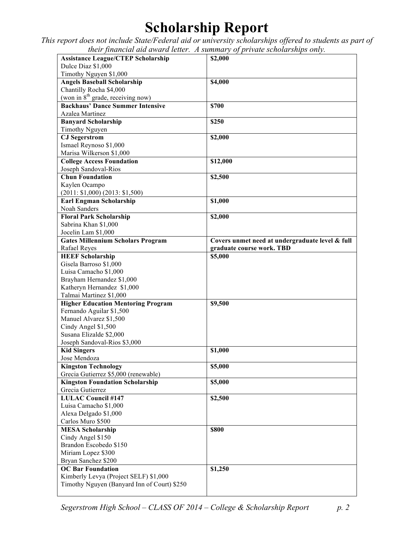# **Scholarship Report**

*This report does not include State/Federal aid or university scholarships offered to students as part of their financial aid award letter. A summary of private scholarships only.*

| <b>Assistance League/CTEP Scholarship</b>   |                                                 |
|---------------------------------------------|-------------------------------------------------|
|                                             | \$2,000                                         |
| Dulce Diaz \$1,000                          |                                                 |
| Timothy Nguyen \$1,000                      |                                                 |
| <b>Angels Baseball Scholarship</b>          | \$4,000                                         |
| Chantilly Rocha \$4,000                     |                                                 |
| (won in $8th$ grade, receiving now)         |                                                 |
| <b>Backhaus' Dance Summer Intensive</b>     | \$700                                           |
| Azalea Martinez                             |                                                 |
|                                             | \$250                                           |
| <b>Banyard Scholarship</b>                  |                                                 |
| Timothy Nguyen                              |                                                 |
| <b>CJ</b> Segerstrom                        | \$2,000                                         |
| Ismael Reynoso \$1,000                      |                                                 |
| Marisa Wilkerson \$1,000                    |                                                 |
| <b>College Access Foundation</b>            | \$12,000                                        |
| Joseph Sandoval-Rios                        |                                                 |
| <b>Chun Foundation</b>                      | \$2,500                                         |
| Kaylen Ocampo                               |                                                 |
| (2011: \$1,000) (2013: \$1,500)             |                                                 |
| <b>Earl Engman Scholarship</b>              | \$1,000                                         |
| Noah Sanders                                |                                                 |
| <b>Floral Park Scholarship</b>              |                                                 |
|                                             | \$2,000                                         |
| Sabrina Khan \$1,000                        |                                                 |
| Jocelin Lam \$1,000                         |                                                 |
| <b>Gates Millennium Scholars Program</b>    | Covers unmet need at undergraduate level & full |
| <b>Rafael Reyes</b>                         | graduate course work. TBD                       |
| <b>HEEF Scholarship</b>                     | \$5,000                                         |
| Gisela Barroso \$1,000                      |                                                 |
| Luisa Camacho \$1,000                       |                                                 |
| Brayham Hernandez \$1,000                   |                                                 |
| Katheryn Hernandez \$1,000                  |                                                 |
| Talmai Martinez \$1,000                     |                                                 |
| <b>Higher Education Mentoring Program</b>   | \$9,500                                         |
| Fernando Aguilar \$1,500                    |                                                 |
|                                             |                                                 |
|                                             |                                                 |
| Manuel Alvarez \$1,500                      |                                                 |
| Cindy Angel \$1,500                         |                                                 |
| Susana Elizalde \$2,000                     |                                                 |
| Joseph Sandoval-Rios \$3,000                |                                                 |
| <b>Kid Singers</b>                          | \$1,000                                         |
| Jose Mendoza                                |                                                 |
| <b>Kingston Technology</b>                  | \$5,000                                         |
| Grecia Gutierrez \$5,000 (renewable)        |                                                 |
| <b>Kingston Foundation Scholarship</b>      | \$5,000                                         |
| Grecia Gutierrez                            |                                                 |
| <b>LULAC Council #147</b>                   | \$2,500                                         |
| Luisa Camacho \$1,000                       |                                                 |
| Alexa Delgado \$1,000                       |                                                 |
| Carlos Muro \$500                           |                                                 |
|                                             | \$800                                           |
| <b>MESA Scholarship</b>                     |                                                 |
| Cindy Angel \$150                           |                                                 |
| Brandon Escobedo \$150                      |                                                 |
| Miriam Lopez \$300                          |                                                 |
| Bryan Sanchez \$200                         |                                                 |
| <b>OC Bar Foundation</b>                    | \$1,250                                         |
| Kimberly Levya (Project SELF) \$1,000       |                                                 |
| Timothy Nguyen (Banyard Inn of Court) \$250 |                                                 |

*Segerstrom High School – CLASS OF 2014 – College & Scholarship Report p. 2*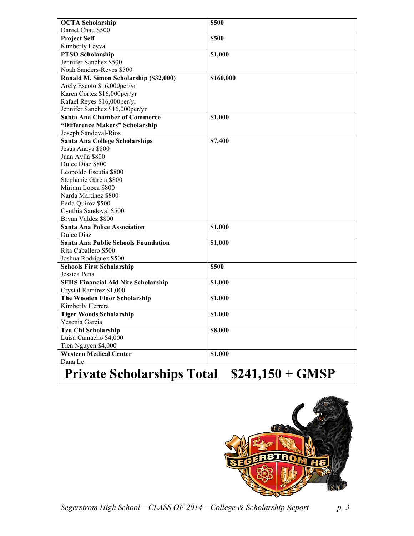| <b>OCTA Scholarship</b>                                                    | \$500     |
|----------------------------------------------------------------------------|-----------|
| Daniel Chau \$500                                                          |           |
| <b>Project Self</b>                                                        | \$500     |
| Kimberly Leyva                                                             |           |
| <b>PTSO Scholarship</b>                                                    | \$1,000   |
| Jennifer Sanchez \$500                                                     |           |
| Noah Sanders-Reyes \$500                                                   |           |
| Ronald M. Simon Scholarship (\$32,000)                                     | \$160,000 |
| Arely Escoto \$16,000per/yr                                                |           |
| Karen Cortez \$16,000per/yr                                                |           |
| Rafael Reyes \$16,000per/yr                                                |           |
| Jennifer Sanchez \$16,000per/yr                                            |           |
| <b>Santa Ana Chamber of Commerce</b>                                       | \$1,000   |
| "Difference Makers" Scholarship                                            |           |
| Joseph Sandoval-Rios                                                       |           |
| Santa Ana College Scholarships                                             | \$7,400   |
| Jesus Anaya \$800                                                          |           |
| Juan Avila \$800                                                           |           |
| Dulce Diaz \$800                                                           |           |
| Leopoldo Escutia \$800                                                     |           |
| Stephanie Garcia \$800                                                     |           |
| Miriam Lopez \$800                                                         |           |
| Narda Martinez \$800                                                       |           |
| Perla Quiroz \$500                                                         |           |
| Cynthia Sandoval \$500                                                     |           |
| Bryan Valdez \$800                                                         |           |
| <b>Santa Ana Police Association</b>                                        | \$1,000   |
| Dulce Diaz                                                                 |           |
| <b>Santa Ana Public Schools Foundation</b>                                 | \$1,000   |
| Rita Caballero \$500                                                       |           |
| Joshua Rodriguez \$500                                                     |           |
| <b>Schools First Scholarship</b>                                           | \$500     |
| Jessica Pena                                                               |           |
| <b>SFHS Financial Aid Nite Scholarship</b>                                 | \$1,000   |
| Crystal Ramirez \$1,000                                                    |           |
| The Wooden Floor Scholarship                                               | \$1,000   |
| Kimberly Herrera                                                           |           |
| <b>Tiger Woods Scholarship</b>                                             | \$1,000   |
| Yesenia Garcia                                                             |           |
| Tzu Chi Scholarship                                                        | \$8,000   |
| Luisa Camacho \$4,000                                                      |           |
| Tien Nguyen \$4,000                                                        |           |
| <b>Western Medical Center</b>                                              | \$1,000   |
| Dana Le                                                                    |           |
| $\mathbf{r}$ .<br>$\mathbf{r}$<br>MA 14<br>$\bigcap$ to $\bigcap$<br>1 P A |           |

# **Private Scholarships Total \$241,150 + GMSP**